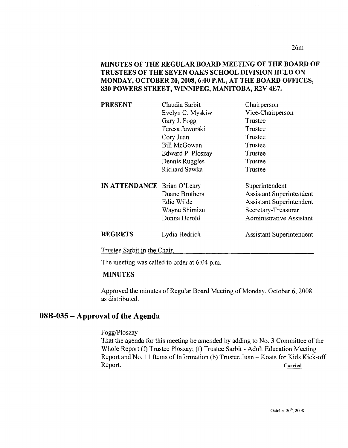26m

 $\bar{z}$  ,  $\bar{z}$ 

#### MINUTES OF THE REGULAR BOARD MEETING OF THE BOARD OF TRUSTEES OF THE SEVEN OAKS SCHOOL DIVISION HELD ON MONDAY, OCTOBER 20,2008,6:00 P.M., AT THE BOARD OFFICES, 830 POWERS STREET, WINNIPEG, MANITOBA, R2V 4E7.

| <b>PRESENT</b>              | Claudia Sarbit      | Chairperson                     |
|-----------------------------|---------------------|---------------------------------|
|                             | Evelyn C. Myskiw    | Vice-Chairperson                |
|                             | Gary J. Fogg        | Trustee                         |
|                             | Teresa Jaworski     | Trustee                         |
|                             | Cory Juan           | Trustee                         |
|                             | <b>Bill McGowan</b> | Trustee                         |
|                             | Edward P. Ploszay   | Trustee                         |
|                             | Dennis Ruggles      | Trustee                         |
|                             | Richard Sawka       | Trustee                         |
| IN ATTENDANCE Brian O'Leary |                     | Superintendent                  |
|                             | Duane Brothers      | <b>Assistant Superintendent</b> |
|                             | Edie Wilde          | <b>Assistant Superintendent</b> |
|                             | Wayne Shimizu       | Secretary-Treasurer             |
|                             | Donna Herold        | <b>Administrative Assistant</b> |
| <b>REGRETS</b>              | Lydia Hedrich       | <b>Assistant Superintendent</b> |

Trustee Sarbit in the Chair.

The meeting was called to order at 6:04 p.m.

#### MINUTES

Approved the minutes of Regular Board Meeting of Monday, October 6, 2008 as distributed.

### 08B-035 - Approval of the Agenda

Fogg/Ploszay

That the agenda for this meeting be amended by adding to No. 3 Committee of the Whole Report (f) Trustee Ploszay; (f) Trustee Sarbit - Adult Education Meeting Report and No. 11 Items of Information (b) Trustee Juan - Koats for Kids Kick-off Report. Carried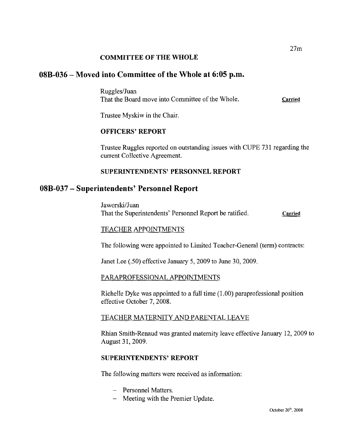#### COMMITTEE OF THE WHOLE

### 08B-036 - Moved into Committee of the Whole at 6:05 p.m.

Ruggles/Juan That the Board move into Committee of the Whole. Carried

Trustee Myskiw in the Chair.

#### OFFICERS' REPORT

Trustee Ruggles reported on outstanding issues with CUPE 731 regarding the current Collective Agreement.

#### SUPERINTENDENTS' PERSONNEL REPORT

### 08B-037 - Superintendents' Personnel Report

Jaworski/Juan That the Superintendents' Personnel Report be ratified. Carried

#### <u>TEACHER APPOINTMENTS</u>

The following were appointed to Limited Teacher-General (term) contracts:

Janet Lee (.50) effective January 5, 2009 to June 30,2009.

#### PARAPROFESSIONAL APPOINTMENTS

Richelle Dyke was appointed to a full time (1.00) paraprofessional position effective October 7, 2008.

#### TEACHER MATERNITY AND PARENTAL LEAVE

Rhian Smith-Renaud was granted maternity leave effective January 12,2009 to August 31, 2009.

#### SUPERINTENDENTS'REPORT

The following matters were received as information:

- Personnel Matters.
- Meeting with the Premier Update.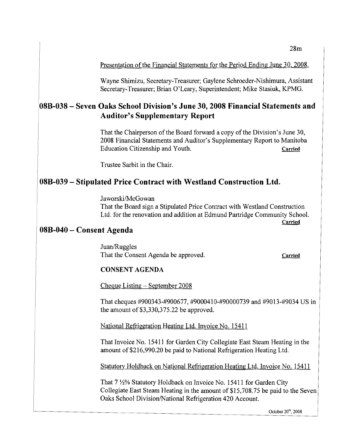#### Presentation of the Financial Statements for the Period Ending June 30, 2008.

Wayne Shimizu, Secretary-Treasurer; Gaylene Schroeder-Nishimura, Assistant Secretary-Treasurer; Brian O'Leary, Superintendent; Mike Stasiuk, KPMG.

# **08B-038 - Seven Oaks School Division's June 30,2008 Financial Statements and Auditor's Supplementary Report**

That the Chairperson of the Board forward a copy of the Division's June 30, 2008 Financial Statements and Auditor's Supplementary Report to Manitoba Education Citizenship and Youth. Carried **Carried** 

Trustee Sarbit in the Chair.

## **08B-039 - Stipulated Price Contract with Westland Construction Ltd.**

Jaworski/McGowan That the Board sign a Stipulated Price Contract with Westland Construction Ltd. for the renovation and addition at Edmund Partridge Community School. **Carried** 

### **08B-040 - Consent Agenda**

Juan/Ruggles That the Consent Agenda be approved. Carried **Carried** 

### **CONSENT AGENDA**

Cheque Listing - September 2008

That cheques #900343-#900677, #9000410-#90000739 and #9013-#9034 US in the amount of  $$3,330,375.22$  be approved.

National Refrigeration Heating Ltd. Invoice No. 15411

That Invoice No. 15411 for Garden City Collegiate East Steam Heating in the amount of\$216,990.20 be paid to National Refrigeration Heating Ltd.

Statutory Holdback on National Refrigeration Heating Ltd. Invoice No. 15411

That 7  $\frac{1}{2}$ % Statutory Holdback on Invoice No. 15411 for Garden City Collegiate East Steam Heating in the amount of \$15,708.75 be paid to the Seven Oaks School Division/National Refrigeration 420 Account.

October zo", 2008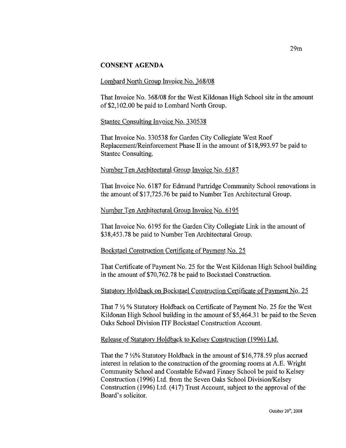#### **CONSENT AGENDA**

#### Lombard North Group Invoice No. 368/08

That Invoice No. 368/08 for the West Kildonan High School site in the amount of\$2,102.00 be paid to Lombard North Group.

#### Stantec Consulting Invoice No. 330538

That Invoice No. 330538 for Garden City Collegiate West Roof Replacement/Reinforcement Phase II in the amount of \$18,993.97 be paid to Stantec Consulting.

#### Number Ten Architectural Group Invoice No. 6187

That Invoice No. 6187 for Edmund Partridge Community School renovations in the amount of \$17,725.76 be paid to Number Ten Architectural Group.

#### Number Ten Architectural Group Invoice No. 6195

That Invoice No. 6195 for the Garden City Collegiate Link in the amount of \$38,453.78 be paid to Number Ten Architectural Group.

#### Bockstael Construction Certificate of Payment No. 25

That Certificate of Payment No. 25 for the West Kildonan High School building in the amount of \$70,762.78 be paid to Bockstael Construction.

#### Statutory Holdback on Bockstael Construction Certificate of Payment No. 25

That  $7\frac{1}{2}$ % Statutory Holdback on Certificate of Payment No. 25 for the West Kildonan High School building in the amount of \$5,464.31 be paid to the Seven Oaks School Division ITF Bockstael Construction Account.

#### Release of Statutory Holdback to Kelsey Construction (1996) Ltd.

That the  $7\frac{1}{2}\%$  Statutory Holdback in the amount of \$16,778.59 plus accrued interest in relation to the construction of the grooming rooms at A.E. Wright Community School and Constable Edward Finney School be paid to Kelsey Construction (1996) Ltd. from the Seven Oaks School Division/Kelsey Construction (1996) Ltd. (417) Trust Account, subject to the approval of the Board's solicitor.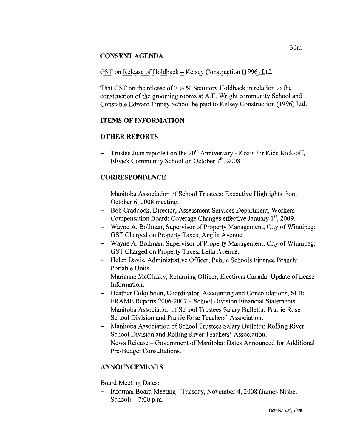#### **CONSENT AGENDA**

#### GST on Release of Holdback - Kelsey Construction (1996) Ltd.

That GST on the release of  $7\frac{1}{2}$ % Statutory Holdback in relation to the construction of the grooming rooms at AE. Wright community School and Constable Edward Finney School be paid to Kelsey Construction (1996) Ltd.

### **ITEMS OF INFORMATION**

### **OTHER REPORTS**

Trustee Juan reported on the 20<sup>th</sup> Anniversary - Koats for Kids Kick-off, Elwick Community School on October  $7<sup>th</sup>$ , 2008.

### **CORRESPONDENCE**

- Manitoba Association of School Trustees: Executive Highlights from October 6, 2008 meeting.
- Bob Craddock, Director, Assessment Services Department, Workers Compensation Board: Coverage Changes effective January 1st, 2009.
- Wayne A. Bollman, Supervisor of Property Management, City of Winnipeg: GST Charged on Property Taxes, Anglia Avenue.
- Wayne A. Bollman, Supervisor of Property Management, City of Winnipeg: GST Charged on Property Taxes, Leila Avenue.
- Helen Davis, Administrative Officer, Public Schools Finance Branch: Portable Units.
- Marianne McClusky, Returning Officer, Elections Canada: Update of Lease Information.
- Heather Colquhoun, Coordinator, Accounting and Consolidations, SFB: FRAME Reports 2006-2007 - School Division Financial Statements.
- Manitoba Association of School Trustees Salary Bulletin: Prairie Rose School Division and Prairie Rose Teachers' Association.
- Manitoba Association of School Trustees Salary Bulletin: Rolling River School Division and Rolling River Teachers' Association.
- News Release Government of Manitoba: Dates Announced for Additional Pre-Budget Consultations.

### **ANNOUNCEMENTS**

Board Meeting Dates:

- Informal Board Meeting - Tuesday, November 4,2008 (James Nisbet School $) - 7:00$  p.m.